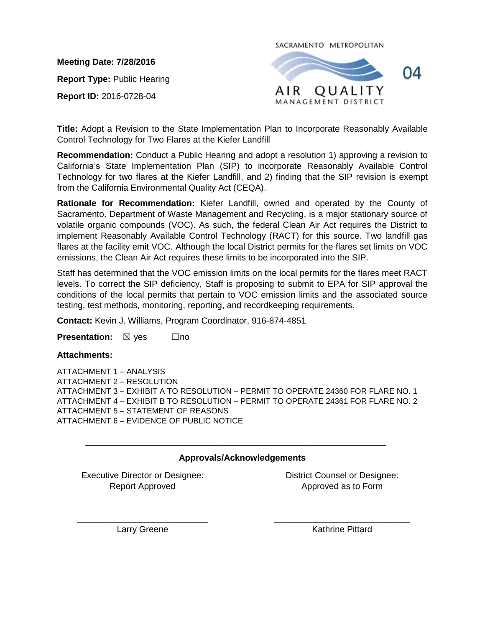**Meeting Date: 7/28/2016**

**Report Type:** Public Hearing

**Report ID:** 2016-0728-04

SACRAMENTO METROPOLITAN



**Title:** Adopt a Revision to the State Implementation Plan to Incorporate Reasonably Available Control Technology for Two Flares at the Kiefer Landfill

**Recommendation:** Conduct a Public Hearing and adopt a resolution 1) approving a revision to California's State Implementation Plan (SIP) to incorporate Reasonably Available Control Technology for two flares at the Kiefer Landfill, and 2) finding that the SIP revision is exempt from the California Environmental Quality Act (CEQA).

**Rationale for Recommendation:** Kiefer Landfill, owned and operated by the County of Sacramento, Department of Waste Management and Recycling, is a major stationary source of volatile organic compounds (VOC). As such, the federal Clean Air Act requires the District to implement Reasonably Available Control Technology (RACT) for this source. Two landfill gas flares at the facility emit VOC. Although the local District permits for the flares set limits on VOC emissions, the Clean Air Act requires these limits to be incorporated into the SIP.

Staff has determined that the VOC emission limits on the local permits for the flares meet RACT levels. To correct the SIP deficiency, Staff is proposing to submit to EPA for SIP approval the conditions of the local permits that pertain to VOC emission limits and the associated source testing, test methods, monitoring, reporting, and recordkeeping requirements.

**Contact:** Kevin J. Williams, Program Coordinator, 916-874-4851

**Presentation:** ⊠ yes □no

**Attachments:**

ATTACHMENT 1 – ANALYSIS ATTACHMENT 2 – RESOLUTION ATTACHMENT 3 – EXHIBIT A TO RESOLUTION – [PERMIT TO OPERATE 24360 FOR FLARE NO. 1](#page--1-0) ATTACHMENT 4 – EXHIBIT B TO RESOLUTION – [PERMIT TO OPERATE 24361](#page--1-0) FOR FLARE NO. 2 ATTACHMENT 5 – [STATEMENT OF REASONS](#page--1-1) ATTACHMENT 6 – [EVIDENCE OF PUBLIC NOTICE](#page--1-1)

## **Approvals/Acknowledgements**

\_\_\_\_\_\_\_\_\_\_\_\_\_\_\_\_\_\_\_\_\_\_\_\_\_\_\_\_\_\_\_\_\_\_\_\_\_\_\_\_\_\_\_\_\_\_\_\_\_\_\_\_\_\_\_\_\_\_\_\_\_\_

Executive Director or Designee: Report Approved

District Counsel or Designee: Approved as to Form

\_\_\_\_\_\_\_\_\_\_\_\_\_\_\_\_\_\_\_\_\_\_\_\_\_\_\_ Larry Greene

\_\_\_\_\_\_\_\_\_\_\_\_\_\_\_\_\_\_\_\_\_\_\_\_\_\_\_\_ Kathrine Pittard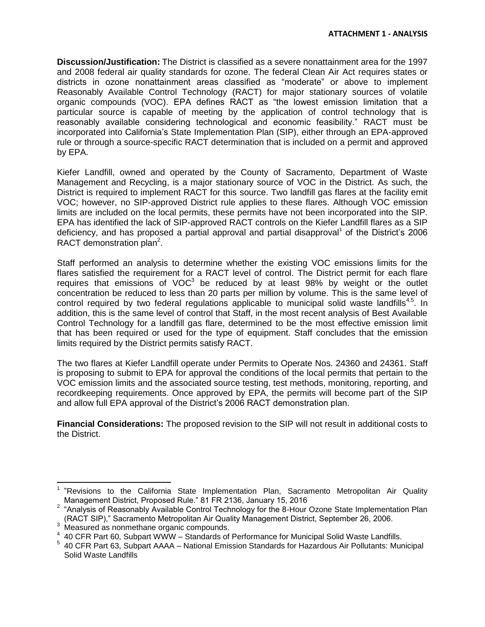**Discussion/Justification:** The District is classified as a severe nonattainment area for the 1997 and 2008 federal air quality standards for ozone. The federal Clean Air Act requires states or districts in ozone nonattainment areas classified as "moderate" or above to implement Reasonably Available Control Technology (RACT) for major stationary sources of volatile organic compounds (VOC). EPA defines RACT as "the lowest emission limitation that a particular source is capable of meeting by the application of control technology that is reasonably available considering technological and economic feasibility." RACT must be incorporated into California's State Implementation Plan (SIP), either through an EPA-approved rule or through a source-specific RACT determination that is included on a permit and approved by EPA.

Kiefer Landfill, owned and operated by the County of Sacramento, Department of Waste Management and Recycling, is a major stationary source of VOC in the District. As such, the District is required to implement RACT for this source. Two landfill gas flares at the facility emit VOC; however, no SIP-approved District rule applies to these flares. Although VOC emission limits are included on the local permits, these permits have not been incorporated into the SIP. EPA has identified the lack of SIP-approved RACT controls on the Kiefer Landfill flares as a SIP deficiency, and has proposed a partial approval and partial disapproval<sup>1</sup> of the District's 2006 RACT demonstration plan<sup>2</sup>.

Staff performed an analysis to determine whether the existing VOC emissions limits for the flares satisfied the requirement for a RACT level of control. The District permit for each flare requires that emissions of  $VOC<sup>3</sup>$  be reduced by at least 98% by weight or the outlet concentration be reduced to less than 20 parts per million by volume. This is the same level of control required by two federal regulations applicable to municipal solid waste landfills<sup>4,5</sup>. In addition, this is the same level of control that Staff, in the most recent analysis of Best Available Control Technology for a landfill gas flare, determined to be the most effective emission limit that has been required or used for the type of equipment. Staff concludes that the emission limits required by the District permits satisfy RACT.

The two flares at Kiefer Landfill operate under Permits to Operate Nos. 24360 and 24361. Staff is proposing to submit to EPA for approval the conditions of the local permits that pertain to the VOC emission limits and the associated source testing, test methods, monitoring, reporting, and recordkeeping requirements. Once approved by EPA, the permits will become part of the SIP and allow full EPA approval of the District's 2006 RACT demonstration plan.

**Financial Considerations:** The proposed revision to the SIP will not result in additional costs to the District.

 1 "Revisions to the California State Implementation Plan, Sacramento Metropolitan Air Quality Management District, Proposed Rule." 81 FR 2136, January 15, 2016

 $2$  "Analysis of Reasonably Available Control Technology for the 8-Hour Ozone State Implementation Plan (RACT SIP)," Sacramento Metropolitan Air Quality Management District, September 26, 2006.

 $3 \over 4$  Measured as nonmethane organic compounds.

<sup>40</sup> CFR Part 60, Subpart WWW – Standards of Performance for Municipal Solid Waste Landfills.

<sup>5</sup> 40 CFR Part 63, Subpart AAAA – National Emission Standards for Hazardous Air Pollutants: Municipal Solid Waste Landfills